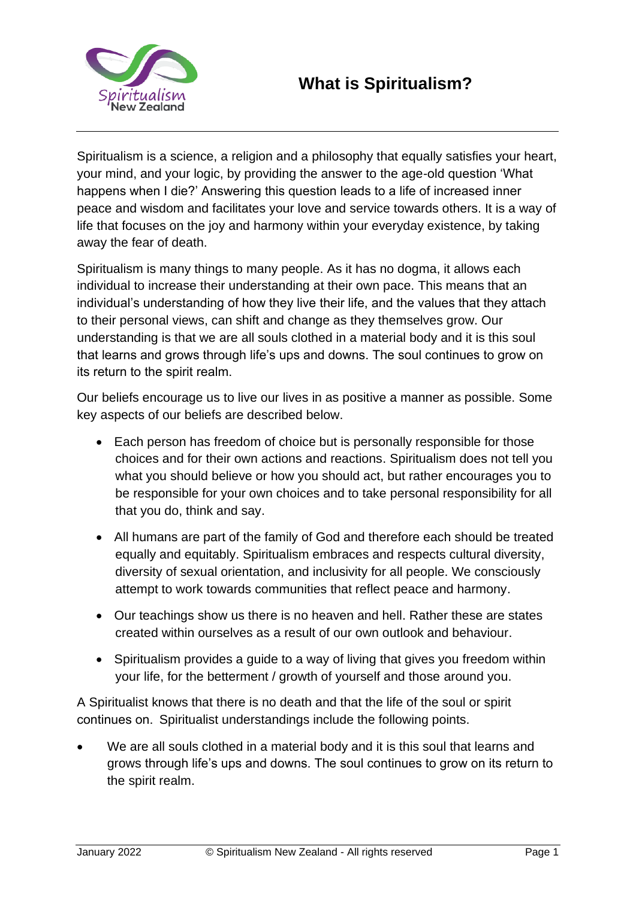

Spiritualism is a science, a religion and a philosophy that equally satisfies your heart, your mind, and your logic, by providing the answer to the age-old question 'What happens when I die?' Answering this question leads to a life of increased inner peace and wisdom and facilitates your love and service towards others. It is a way of life that focuses on the joy and harmony within your everyday existence, by taking away the fear of death.

Spiritualism is many things to many people. As it has no dogma, it allows each individual to increase their understanding at their own pace. This means that an individual's understanding of how they live their life, and the values that they attach to their personal views, can shift and change as they themselves grow. Our understanding is that we are all souls clothed in a material body and it is this soul that learns and grows through life's ups and downs. The soul continues to grow on its return to the spirit realm. 

Our beliefs encourage us to live our lives in as positive a manner as possible. Some key aspects of our beliefs are described below.

- Each person has freedom of choice but is personally responsible for those choices and for their own actions and reactions. Spiritualism does not tell you what you should believe or how you should act, but rather encourages you to be responsible for your own choices and to take personal responsibility for all that you do, think and say.
- All humans are part of the family of God and therefore each should be treated equally and equitably. Spiritualism embraces and respects cultural diversity, diversity of sexual orientation, and inclusivity for all people. We consciously attempt to work towards communities that reflect peace and harmony.
- Our teachings show us there is no heaven and hell. Rather these are states created within ourselves as a result of our own outlook and behaviour.
- Spiritualism provides a guide to a way of living that gives you freedom within your life, for the betterment / growth of yourself and those around you.

A Spiritualist knows that there is no death and that the life of the soul or spirit continues on.  Spiritualist understandings include the following points.

We are all souls clothed in a material body and it is this soul that learns and grows through life's ups and downs. The soul continues to grow on its return to the spirit realm.